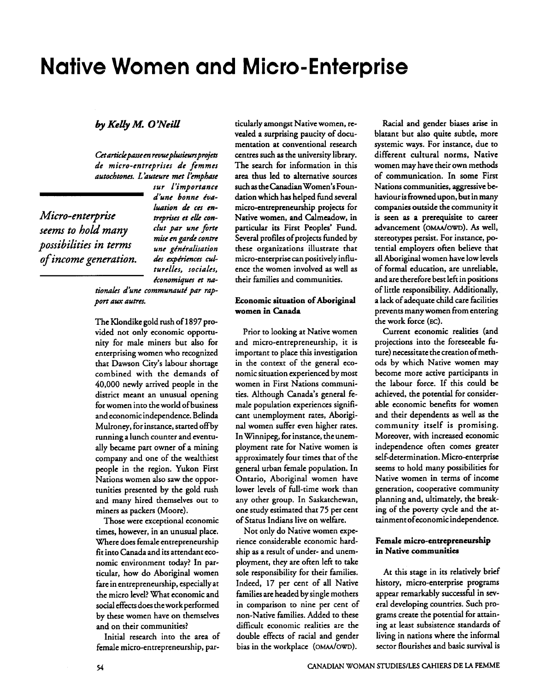# **Native Women and Micro-Enterprise**

### by Kelly M. O'Neill

Cet article passe en revue plusieurs projets de micro-entreprises de femmes autochtones. L'auteure met l'emphase

Micro-enterprise seems to hold many possibilities in terms of income generation. sur l'importance d'une honne évaluation de ces entreprises et elle conclut par une forte mise en garde contre une généralisation des expériences culturelles, sociales, économiques et na-

tionales d'une communauté par rapport aux autres.

The Klondike gold rush of 1897 provided not only economic opportunity for male miners but also for enterprising women who recognized that Dawson City's labour shortage combined with the demands of 40,000 newly arrived people in the district meant an unusual opening for women into the world of business and economic independence. Belinda Mulroney, for instance, started off by running a lunch counter and eventually became part owner of a mining company and one of the wealthiest people in the region. Yukon First Nations women also saw the opportunities presented by the gold rush and many hired themselves out to miners as packers (Moore).

Those were exceptional economic times, however, in an unusual place. Where does female entrepreneurship fit into Canada and its attendant economic environment today? In particular, how do Aboriginal women fare in entrepreneurship, especially at the micro level? What economic and social effects does the work performed by these women have on themselves and on their communities?

Initial research into the area of female micro-entrepreneurship, par-

ticularly amongst Native women, revealed a surprising paucity of documentation at conventional research centres such as the university library. The search for information in this area thus led to alternative sources such as the Canadian Women's Foundation which has helped fund several micro-entrepreneurship projects for Native women, and Calmeadow, in particular its First Peoples' Fund. Several profiles of projects funded by these organizations illustrate that micro-enterprise can positively influence the women involved as well as their families and communities.

#### Economic situation of Aboriginal women in Canada

Prior to looking at Native women and micro-entrepreneurship, it is important to place this investigation in the context of the general economic situation experienced by most women in First Nations communities. Although Canada's general female population experiences significant unemployment rates, Aboriginal women suffer even higher rates. In Winnipeg, for instance, the unemployment rate for Native women is approximately four times that of the general urban female population. In Ontario, Aboriginal women have lower levels of full-time work than any other group. In Saskatchewan, one study estimated that 75 per cent of Status Indians live on welfare.

Not only do Native women experience considerable economic hardship as a result of under- and unemployment, they are often left to take sole responsibility for their families. Indeed, 17 per cent of all Native families are headed by single mothers in comparison to nine per cent of non-Native families. Added to these difficult economic realities are the double effects of racial and gender bias in the workplace (OMAA/OWD).

Racial and gender biases arise in blatant but also quite subtle, more systemic ways. For instance, due to different cultural norms, Native women may have their own methods of communication. In some First Nations communities, aggressive behaviour is frowned upon, but in many companies outside the community it is seen as a prerequisite to career advancement (OMAA/OWD). As well, stereotypes persist. For instance, potential employers often believe that all Aboriginal women have low levels of formal education, are unreliable, and are therefore best left in positions of little responsibility. Additionally, a lack of adequate child care facilities prevents many women from entering the work force (EC).

Current economic realities (and projections into the foreseeable future) necessitate the creation of methods by which Native women may become more active participants in the labour force. If this could be achieved, the potential for considerable economic benefits for women and their dependents as well as the community itself is promising. Moreover, with increased economic independence often comes greater self-determination. Micro-enterprise seems to hold many possibilities for Native women in terms of income generation, cooperative community planning and, ultimately, the breaking of the poverty cycle and the attainment of economic independence.

#### Female micro-entrepreneurship in Native communities

At this stage in its relatively brief history, micro-enterprise programs appear remarkably successful in several developing countries. Such programs create the potential for attaining at least subsistence standards of living in nations where the informal sector flourishes and basic survival is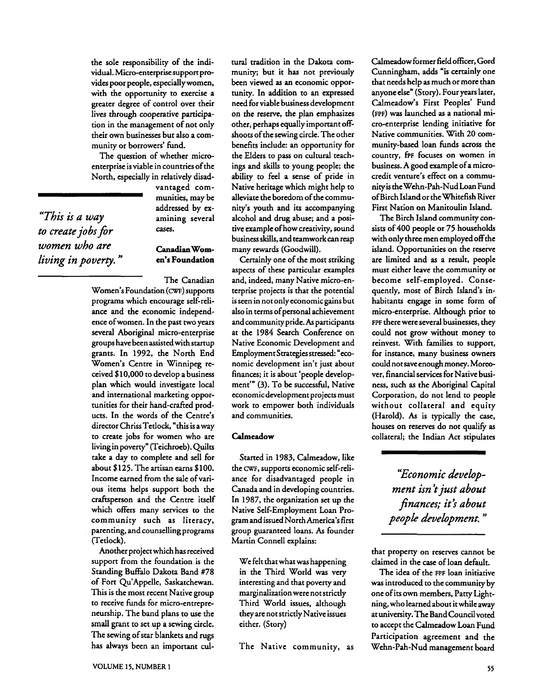the sole responsibility of the individual. Micro-enterprise support provides poor people, especially women, with the opportunity to exercise a greater degree of control over their lives through cooperative participation in the management of not only their own businesses but also a community or borrowers' fund.

The question of whether microenterprise is viable in countries of the North, especially in relatively disad-

> vantaged communities, may be addressed by ex-

*"This is a way* amining several *to create jobs for* cases. *women who are* **Canadian Wom***living in poverty.* " **en's Foundation** 

The Canadian Women's Foundation (CWF) supports programs which encourage self-reliance and the economic independence ofwomen. In the past two years several Aboriginal micro-enterprise groups have been assisted with startup grants. In 1992, the North End Women's Centre in Winnipeg received \$10,000 to develop a business plan which would investigate local and international marketing opportunities for their hand-crafted products. In the words of the Centre's director Chriss Tetlock, "this is a way to create jobs for women who are living in poverty" (Teichroeb). Quilts take a day to complete and sell for about \$125. The artisan earns \$100. Income earned from the sale of various items helps support both the craftsperson and the Centre itself which offers many services to the community such as literacy, parenting, and counselling programs (Tetlock).

Another project which has received support from the foundation is the Standing Buffalo Dakota Band #78 of Fort Qu'Appelle, Saskatchewan. This is the most recent Native group to receive funds for micro-entrepreneurship. The band plans to use the small grant to set up a sewing circle. The sewing of star blankets and **rugs**  has always been an important cultural tradition in the Dakota community; but it has not previously been viewed as an economic opportunity. In addition to an expressed need for viable business development on the reserve, the plan emphasizes other, perhaps equally important offshoots of the sewing circle. The other benefits include: an opportunity for the Elders to pass on cultural teachings and skills to young people; the ability to feel a sense of pride in Native heritage which might help to alleviate the boredom of the community's youth and its accompanying alcohol and drug abuse; and a positive example ofhow creativity, sound business skills, and teamworkcan reap many rewards (Goodwill).

Certainly one of the most striking aspects of these particular examples and, indeed, many Native micro-enterprise projects is that the potential is seen in not only economic gains but also in terms of personal achievement and community pride. **As** participants at the 1984 Search Conference on Native Economic Development and Employment Strategies stressed: "economic development isn't just about finances; it is about 'people development'" (3). To be successful, Native economicdevelopment projects must work to empower both individuals and communities.

#### Calmeadow

Started in 1983, Calmeadow, like the CWF, supports economic self-reliance for disadvantaged people in Canada and in developing countries. In 1987, the organization set up the Native Self-Employment Loan Program and issued North America's first group guaranteed loans. As founder Martin Connell explains:

We felt that what was happening in the Third World was very interesting and that poverty and marginalizationwere not strictly Third World issues, although they are not strictly Native issues either. (Story)

The Native community, as

Calmeadow former field officer, Gord Cunningham, adds "is certainly one that needs help as much or more than anyone else" (Story). Four years later, Calmeadow's First Peoples' Fund (FPF) was launched as a national micro-enterprise lending initiative for Native communities. With 20 community-based loan funds across the country, fPF focuses on women in business. A good example of a microcredit venture's effect on a community is the Wehn-Pah-Nud Loan Fund ofBirch Island or the Whitefish River First Nation on Manitoulin Island.

The Birch Island community consists of 400 people or 75 households with only three men employed off the island. Opportunities on the reserve are limited and as a result, people must either leave the community or become self-employed. Consequently, most of Birch Island's inhabitants engage in some form of micro-enterprise. Although prior to FPF there were several businesses, they could not grow without money to reinvest. With families to support, for instance, many business owners could not save enough money. Moreover, financial services for Native business, such as the Aboriginal Capital Corporation, do not lend to people without collateral and equity (Harold). As is typically the case, houses on reserves do not qualify as collateral; the Indian Act stipulates

> "Economic develop*ment isn* 't *just about*   $f$ *inances; it's about people development.* "

that property on reserves cannot be claimed in the case of loan default.

The idea of the FPF loan initiative was introduced to the community by one of its own members, Patty Lightning, who learned about itwhile away at university. The Band Council voted to accept the Calmeadow Loan Fund Participation agreement and the Wehn-Pah-Nud management board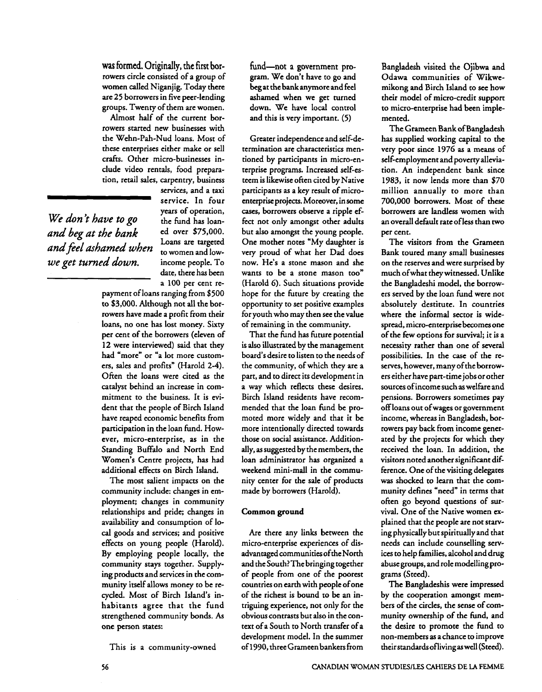**was** formed. Originally, the first borrowers circle consisted of a group of women called Niganjig. Today there are 25 borrowers in five peer-lending groups. Twenty of them are women.

Almost half of the current borrowers started new businesses with the Wehn-Pah-Nud loans. Most of these enterprises either make or sell crafts. Other micro-businesses include video rentals, food preparation, retail sales, carpentry, business

*We don't have to go* the fund has loan-<br>and hea at the hank ed over \$75,000. and beg at the bank ed over \$75,000.<br>
loans are targeted Loans are targeted *andfiel darned when* to women and low*we get turned down.* income people. To

services, and a taxi service. In four years of operation,<br>the fund has loandate, there has been a 100 per cent re-

payment of loans ranging from \$500 to \$3,000. Although not all the borrowers have made a profit from their loans, no one has lost money. Sixty per cent of the borrowers (eleven of **12** were interviewed) said that they had "more" or "a lot more customers, sales and profits" (Harold 2-4). Often the loans were cited as the catalyst behind an increase in commitment to the business. It is evident that the people of Birch Island have reaped economic benefits from participation in the loan fund. However, micro-enterprise, as in the Standing Buffalo and North End Women's Centre projects, has had additional effects on Birch Island.

The most salient impacts on the community include: changes in employment; changes in community relationships and pride; changes in availability and consumption of local goods and services; and positive effects on young people (Harold). By employing people locally, the community stays together. Supplying products and services in the community itself allows money to be recycled. Most of Birch Island's inhabitants agree that the fund strengthened community bonds. **As**  one person states:

This is a community-owned

fund-not a government program. We don't have to go and beg at the bank anymore and feel ashamed when we get turned down. We have local control and this is very important. (5)

Greater independence and self-determination are characteristics mentioned by participants in micro-enterprise programs. Increased self-esteem is likewise often cited by Native participants as a key result of microenterprise projects. Moreover, in some cases, borrowers observe a ripple effect not only amongst other adults but also amongst the young people. One mother notes "My daughter is very proud of what her Dad does now. He's a stone mason and she wants to be a stone mason too" (Harold G). Such situations provide hope for the future by creating the opportunity to set positive examples for youth who may then see the value of remaining in the community.

That the fund has future potential is also illustrated by the management board's desire to listen to the needs of the community, of which they are a part, and to direct its development in a way which reflects these desires. Birch Island residents have recommended that the loan fund be promoted more widely and that it be more intentionally directed towards those on social assistance. Additionally, as suggested by the members, the loan administrator has organized a weekend mini-mall in the community center for the sale of products made by borrowers (Harold).

#### **Common ground**

Are there any links between the micro-enterprise experiences of disadvantaged communities ofthe North and the South? The bringing together of people from one of the poorest countries on earth with people of one of the richest is bound to be an intriguing experience, not only for the obvious contrasts but also in the context of a South to North transfer of a development model. In the summer of 1990, threeGrameen bankers from Bangladesh visited the Ojibwa and Odawa communities of Wikwemikong and Birch Island to **see** how their model of micro-credit support to micro-enterprise had been implemented.

The Grameen Bank of Bangladesh has supplied working capital to the very poor since 1976 as a means of self-employment and poverty alleviation. An independent bank since 1983, it now lends more than \$70 million annually to more than 700,000 borrowers. Most of these borrowers are landless women with an overall default rate of less than two per cent.

The visitors from the Grameen Bank toured many small businesses on the reserves and were surprised by much ofwhat theywitnessed. Unlike the Bangladeshi model, the borrowers served by the loan fund were not absolutely destitute. In countries where the informal sector is widespread, micro-enterprise becomes one of the few options for survival; it is a necessity rather than one of several possibilities. In the case of the reserves, however, many of the borrowers either have part-time jobs or other sources of income such as welfare and pensions. Borrowers sometimes pay off loans out ofwages or government income, whereas in Bangladesh, borrowers pay back from income generated by the projects for which they received the loan. In addition, the visitors noted another significant difference. One of the visiting delegates **was** shocked to learn that the community defines "need" in terms that often go beyond questions of survival. One of the Native women explained that the people are not starving physically but spiritually and that needs **can** include counselling services to help families, alcohol and drug abuse groups, and role modellingprograms (Steed).

The Bangladeshis were impressed by the cooperation amongst members of the circles, the sense of community ownership of the fund, and the desire to promote the fund to non-members as a chance to improve their standards ofliving as well (Steed).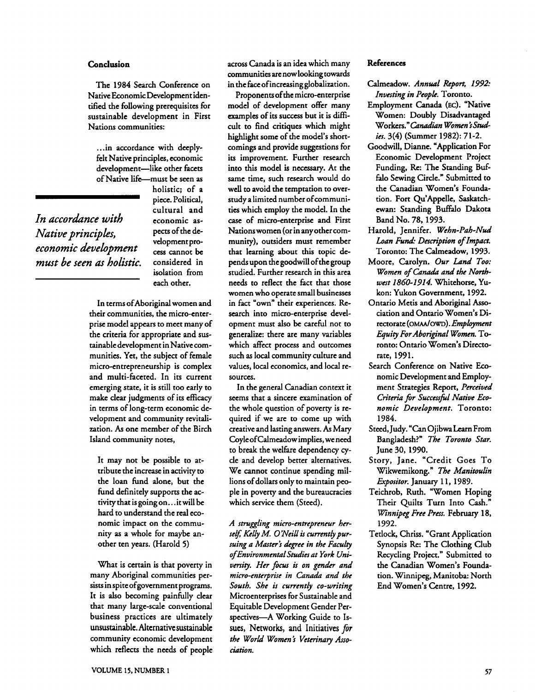#### **Conclusion**

The 1984 Search Conference on Native Economic Development identified the following prerequisites for sustainable development in First Nations communities:

... in accordance with deeplyfelt Native principles, economic development-like other facets of Native life-must be seen as

*In accordance with* economic as-*Felt Native principles, economic<br>development—like other facets<br>of Native life—must be seen as<br>holistic; of a<br>piece. Political,<br>cultural and<br><i>In accordance with*<br>conomic as-<br>*Native principles,*<br>pects of the de-<br>*economic mwt be seen* **as** *holistic.* considered in

piece. Political, cultural and isolation from each other.

holistic; of a

In terms ofAboriginal women and their communities, the micro-enterprise model appears to meet many of the criteria for appropriate and sustainable development in Native communities. Yet, the subject of female micro-entrepreneurship is complex and multi-faceted. In its current emerging state, it is still too early to make clear judgments of its eficacy in terms of long-term economic development and community revitalization. As one member of the Birch Island community notes,

It may not be possible to attribute the increase in activity to the loan fund alone, but the fund definitely supports the activity that is going on.. .it will be hard to understand the real economic impact on the community as a whole for maybe another ten years. (Harold 5)

What is certain is that poverty in many Aboriginal communities persists in spite ofgovernment programs. It is also becoming painfully clear that many large-scale conventional business practices are ultimately unsustainable. Alternative sustainable community economic development which reflects the needs of people

across Canada is an idea which many communities are now looking towards in the face of increasing globalization.

Proponents of the micro-enterprise model of development offer many examples of its success but it is dificult to find critiques which might highlight some of the model's shortcomings and provide suggestions for its improvement. Further research into this model is necessary. At the same time, such research would do well to avoid the temptation to overstudy a limited number of communities which employ the model. In the case of micro-enterprise and First Nationswomen (or in any other community), outsiders must remember that learning about this topic depends upon the goodwill of the group studied. Further research in this area needs to reflect the fact that those women who operate small businesses in fact "own" their experiences. Research into micro-enterprise development must also be careful not to generalize: there are many variables which affect process and outcomes such as local community culture and values, local economics, and local resources.

In the general Canadian context it seems that a sincere examination of the whole question of poverty is required if we are to come up with creative and lasting answers. As Mary CoyleofCalmeadow implies, we need to break the welfare dependency cycle and develop better alternatives. We cannot continue spending millions of dollars only to maintain people in poverty and the bureaucracies which service them (Steed).

A struggling micro-entrepreneur herself, Kelly M. O'Neill is currently pursuing a Master's degree in the Faculty ofEnvironmentalStudies at York University. Her focus is on gender and micro-enterprise in Canada and the South. She is currently co-writing Microenterprises for Sustainable and Equitable Development Gender Perspectives-A Working Guide to Issues, Networks, and Initiatives for the World Women's Veterinary Association.

#### **References**

- Calmeadow. Annual Report, 1992: Investing in People. Toronto.
- Employment Canada (EC). "Native Women: Doubly Disadvantaged Workers." Canadian Women's Studies. 3(4) (Summer 1982): 71-2.
- Goodwill, Dianne. "Application For Economic Development Project Funding, Re: The Standing **Buf**filo Sewing Circle." Submitted to the Canadian Women's Foundation. Fort Qu'Appelle, Saskatchewan: Standing Buffalo Dakota Band No. 78,1993.
- Harold, Jennifer. Wehn-Pah-Nud Loan *Fund.* Description of Impact. Toronto: The Calmeadow, 1993.
- Moore, Carolyn. Our Land Too: Women of Canada and the Northwest 1860-1914. Whitehorse, Yukon: Yukon Government, 1992.
- Ontario Metis and Aboriginal **Asso**ciation and Ontario Women's Directorate (OMAA/OWD). Employment Equity For Aboriginal Women. Toronto: Ontario Women's Directorate, 1991.
- Search Conference on Native Economic Development and Employment Strategies Report, Perceived Criteria for Successfil Native Economic Development. Toronto: 1984.
- Steed, Judy. "CanOjibwaLearn From Bangladesh?" The Toronto Star. June 30,1990.
- Story, Jane. "Credit Goes To Wikwemikong." The Manitoulin Expositor. January 11, 1989.
- Teichrob, Ruth. "Women Hoping Their Quilts Turn Into Cash." Winnipeg Free Press. February 18, 1992.
- Tetlock, Chriss. "Grant Application Synopsis Re: The Clothing Club Recycling Project." Submitted to the Canadian Women's Foundation. Winnipeg, Manitoba: North End Women's Centre, 1992.